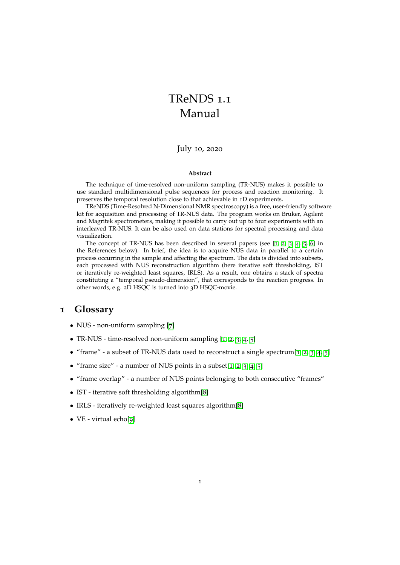# TReNDS 1.1 Manual

### July 10, 2020

#### **Abstract**

The technique of time-resolved non-uniform sampling (TR-NUS) makes it possible to use standard multidimensional pulse sequences for process and reaction monitoring. It preserves the temporal resolution close to that achievable in 1D experiments.

TReNDS (Time-Resolved N-Dimensional NMR spectroscopy) is a free, user-friendly software kit for acquisition and processing of TR-NUS data. The program works on Bruker, Agilent and Magritek spectrometers, making it possible to carry out up to four experiments with an interleaved TR-NUS. It can be also used on data stations for spectral processing and data visualization.

The concept of TR-NUS has been described in several papers (see [[1](#page-15-0), [2](#page-16-0), [3](#page-16-1), [4](#page-16-2), [5](#page-16-3), [6](#page-16-4)] in the References below). In brief, the idea is to acquire NUS data in parallel to a certain process occurring in the sample and affecting the spectrum. The data is divided into subsets, each processed with NUS reconstruction algorithm (here iterative soft thresholding, IST or iteratively re-weighted least squares, IRLS). As a result, one obtains a stack of spectra constituting a "temporal pseudo-dimension", that corresponds to the reaction progress. In other words, e.g. 2D HSQC is turned into 3D HSQC-movie.

# **1 Glossary**

- NUS non-uniform sampling [[7](#page-16-5)]
- TR-NUS time-resolved non-uniform sampling [[1](#page-15-0), [2](#page-16-0), [3](#page-16-1), [4](#page-16-2), [5](#page-16-3)]
- "frame" a subset of TR-NUS data used to reconstruct a single spectrum[[1](#page-15-0), [2](#page-16-0), [3](#page-16-1), [4](#page-16-2), [5](#page-16-3)]
- "frame size" a number of NUS points in a subset[[1](#page-15-0), [2](#page-16-0), [3](#page-16-1), [4](#page-16-2), [5](#page-16-3)]
- "frame overlap" a number of NUS points belonging to both consecutive "frames"
- IST iterative soft thresholding algorithm[[8](#page-16-6)]
- IRLS iteratively re-weighted least squares algorithm[[8](#page-16-6)]
- VE virtual echo[[9](#page-16-7)]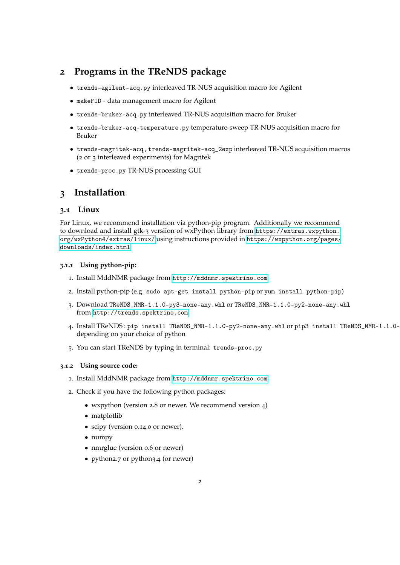# **2 Programs in the TReNDS package**

- trends-agilent-acq.py interleaved TR-NUS acquisition macro for Agilent
- makeFID data management macro for Agilent
- trends-bruker-acq.py interleaved TR-NUS acquisition macro for Bruker
- trends-bruker-acq-temperature.py temperature-sweep TR-NUS acquisition macro for Bruker
- trends-magritek-acq , trends-magritek-acq\_2exp interleaved TR-NUS acquisition macros (2 or 3 interleaved experiments) for Magritek
- trends-proc.py TR-NUS processing GUI

# <span id="page-1-0"></span>**3 Installation**

# **3.1 Linux**

For Linux, we recommend installation via python-pip program. Additionally we recommend to download and install gtk-3 versiion of wxPython library from [https://extras.wxpython.](https://extras.wxpython.org/wxPython4/extras/linux/) [org/wxPython4/extras/linux/](https://extras.wxpython.org/wxPython4/extras/linux/) using instructions provided in [https://wxpython.org/pages/](https://wxpython.org/pages/downloads/index.html) [downloads/index.html](https://wxpython.org/pages/downloads/index.html)

# **3.1.1 Using python-pip:**

- 1. Install MddNMR package from <http://mddnmr.spektrino.com>
- 2. Install python-pip (e.g. sudo apt-get install python-pip or yum install python-pip)
- 3. Download TReNDS\_NMR-1.1.0-py3-none-any.whl or TReNDS\_NMR-1.1.0-py2-none-any.whl from <http://trends.spektrino.com>
- 4. Install TReNDS: pip install TReNDS\_NMR-1.1.0-py2-none-any.whl or pip3 install TReNDS\_NMR-1.1.0depending on your choice of python
- 5. You can start TReNDS by typing in terminal: trends-proc.py

### **3.1.2 Using source code:**

- 1. Install MddNMR package from <http://mddnmr.spektrino.com>
- 2. Check if you have the following python packages:
	- wxpython (version 2.8 or newer. We recommend version 4)
	- matplotlib
	- scipy (version 0.14.0 or newer).
	- numpy
	- nmrglue (version 0.6 or newer)
	- python2.7 or python3.4 (or newer)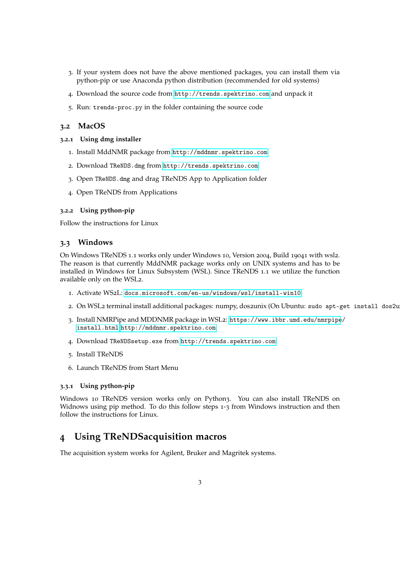- . If your system does not have the above mentioned packages, you can install them via python-pip or use Anaconda python distribution (recommended for old systems)
- . Download the source code from <http://trends.spektrino.com> and unpack it
- . Run: trends-proc.py in the folder containing the source code

# **.2 MacOS**

- **.2.1 Using dmg installer**
	- . Install MddNMR package from <http://mddnmr.spektrino.com>
	- . Download TReNDS.dmg from <http://trends.spektrino.com>
	- . Open TReNDS.dmg and drag TReNDS App to Application folder
	- . Open TReNDS from Applications

### **.2.2 Using python-pip**

Follow the instructions for Linux

### <span id="page-2-0"></span>**.3 Windows**

On Windows TReNDS 1.1 works only under Windows 10, Version 2004, Build 19041 with wsl2. The reason is that currently MddNMR package works only on UNIX systems and has to be installed in Windows for Linux Subsystem (WSL). Since TReNDS 1.1 we utilize the function available only on the WSL2.

- . Activate WS2L: <docs.microsoft.com/en-us/windows/wsl/install-win10>
- 2. On WSL2 terminal install additional packages: numpy, dos2unix (On Ubuntu: sudo apt-get install dos2u
- . Install NMRPipe and MDDNMR package in WSL2: [https://www.ibbr.umd.edu/nmrpipe](https://www.ibbr.umd.edu/nmrpipe/install.html)/ [install.html](https://www.ibbr.umd.edu/nmrpipe/install.html)<http://mddnmr.spektrino.com>
- . Download TReNDSsetup.exe from <http://trends.spektrino.com>
- . Install TReNDS
- . Launch TReNDS from Start Menu

### **.3.1 Using python-pip**

Windows 10 TReNDS version works only on Python3. You can also install TReNDS on Widnows using pip method. To do this follow steps 1-3 from Windows instruction and then follow the instructions for Linux.

# **Using TReNDSacquisition macros**

The acquisition system works for Agilent, Bruker and Magritek systems.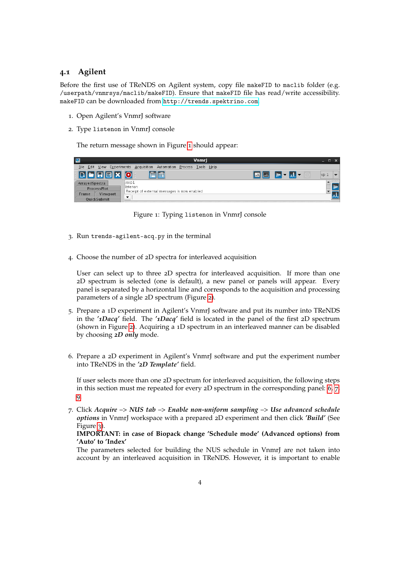# <span id="page-3-3"></span>**4.1 Agilent**

Before the first use of TReNDS on Agilent system, copy file makeFID to maclib folder (e.g. /userpath/vnmrsys/maclib/makeFID). Ensure that makeFID file has read/write accessibility. makeFID can be downloaded from <http://trends.spektrino.com>.

- 1. Open Agilent's VnmrJ software
- 2. Type listenon in VnmrJ console

The return message shown in Figure [1](#page-3-0) should appear:

| $\bullet$                   | <b>VnmrJ</b>                                                   | $\Box$ $\times$<br>-- |
|-----------------------------|----------------------------------------------------------------|-----------------------|
| <b>Eile</b><br>View<br>Edit | Process Tools Help<br>Experiments<br>Acquisition<br>Automation |                       |
|                             | Tol<br><b>IMM</b>                                              | $vp_1$                |
| ArrayedSpectra              | ljexp1                                                         |                       |
| <b>ProcessPlot</b>          | listenon                                                       |                       |
| <b>Frame</b><br>Viewport    | Receipt of external messages is now enabled                    |                       |
| <b>OuickSubmit</b>          |                                                                | יע                    |

<span id="page-3-0"></span>Figure 1: Typing listenon in VnmrJ console

- 3. Run trends-agilent-acq.py in the terminal
- 4. Choose the number of 2D spectra for interleaved acquisition

User can select up to three 2D spectra for interleaved acquisition. If more than one 2D spectrum is selected (one is default), a new panel or panels will appear. Every panel is separated by a horizontal line and corresponds to the acquisition and processing parameters of a single 2D spectrum (Figure [2](#page-4-0)).

- 5. Prepare a 1D experiment in Agilent's VnmrJ software and put its number into TReNDS in the *'1Dacq'* field. The *'1Dacq'* field is located in the panel of the first 2D spectrum (shown in Figure [2](#page-4-0)). Acquiring a 1D spectrum in an interleaved manner can be disabled by choosing *2D only* mode.
- <span id="page-3-1"></span>6. Prepare a 2D experiment in Agilent's VnmrJ software and put the experiment number into TReNDS in the *'2D Template'* field.

If user selects more than one 2D spectrum for interleaved acquisition, the following steps in this section must me repeated for every 2D spectrum in the corresponding panel: [6](#page-3-1), [7](#page-3-2), [9](#page-5-0).

<span id="page-3-2"></span>7. Click *Acquire* –> *NUS tab* –> *Enable non-uniform sampling* –> *Use advanced schedule options* in VnmrJ workspace with a prepared 2D experiment and then click *'Build'* (See Figure [3](#page-4-1)).

**IMPORTANT: in case of Biopack change 'Schedule mode' (Advanced options) from 'Auto' to 'Index'**

The parameters selected for building the NUS schedule in VnmrJ are not taken into account by an interleaved acquisition in TReNDS. However, it is important to enable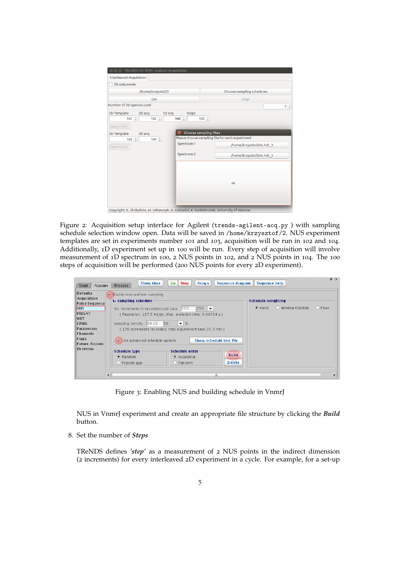| <b>Interleaved Acquisition</b>                                                                           |                                                                                 |  |  |  |  |
|----------------------------------------------------------------------------------------------------------|---------------------------------------------------------------------------------|--|--|--|--|
| 2D only mode                                                                                             |                                                                                 |  |  |  |  |
| /home/krzysztof/2                                                                                        | Choose sampling schedules                                                       |  |  |  |  |
| Go!                                                                                                      | Stop!                                                                           |  |  |  |  |
| Number of 2D spectra used                                                                                | $2 \div$                                                                        |  |  |  |  |
| 2D Template<br>2D acq.<br>1D acq<br><b>Steps</b><br>$102 \div$<br>$100 \div$<br>$101 \div$<br>Spectrum:1 | $100 \div$                                                                      |  |  |  |  |
| l x<br>2D Template<br>2D acq.                                                                            | <b>Choose sampling files</b><br>Please choose sampling file for each experiment |  |  |  |  |
| $103 \div$<br>$104 \div$<br>Spectrum:1<br>Spectrum:2                                                     | /home/krzysztof/nls.hdr_3                                                       |  |  |  |  |
| Spectrum:2                                                                                               | /home/krzysztof/nls.hdr 3                                                       |  |  |  |  |
|                                                                                                          | ok                                                                              |  |  |  |  |

<span id="page-4-0"></span>Figure 2: Acquisition setup interface for Agilent (trends-agilent-acq.py ) with sampling schedule selection window open. Data will be saved in /home/krzysztof/2. NUS experiment templates are set in experiments number 101 and 103, acquisition will be run in 102 and 104. Additionally, 1D experiment set up in 100 will be run. Every step of acquisition will involve measurement of 1D spectrum in 100, 2 NUS points in 102, and 2 NUS points in 104. The 100 steps of acquisition will be performed (200 NUS points for every 2D experiment).

| Acquire<br><b>Start</b>                                                                                                                                                                                   | Sequence diagram<br><b>Show time</b><br>Go  <br>Stop<br><b>Arrays</b><br><b>Process</b>                                                                                                                                                                                                                                                                                                                                                                                                                                                | <b>Sequence help</b>                                          |
|-----------------------------------------------------------------------------------------------------------------------------------------------------------------------------------------------------------|----------------------------------------------------------------------------------------------------------------------------------------------------------------------------------------------------------------------------------------------------------------------------------------------------------------------------------------------------------------------------------------------------------------------------------------------------------------------------------------------------------------------------------------|---------------------------------------------------------------|
| <b>Defaults</b><br>Acquisition<br><b>Pulse Sequence</b><br><b>NUS</b><br><b>PRESAT</b><br><b>WET</b><br><b>CPMG</b><br><b>Parameters</b><br><b>Channels</b><br>Flags<br><b>Future Actions</b><br>Overview | $\triangleright$ Enable non-uniform sampling<br>-t1 sampling schedule-<br>No. increments in reconstructed data 256<br>256<br>╺<br>(Resolution: 137.5 Hz/pt; Max. evolution time: 0.00724 s )<br>Sampling density 50.00<br>50<br>$\blacktriangledown$ %<br>(128 increments recorded; total experiment time 26.3 min)<br><b>Show schedule text file</b><br>$\triangleright$ Use advanced schedule options<br>Schedule order<br>Schedule type<br><b>Build</b><br>Sequential<br>$\bullet$ Random<br><b>Delete</b><br>Random<br>Poisson gap | Schedule weighting<br>O None<br>◯ Window function<br>$O$ Pbox |
|                                                                                                                                                                                                           | $\blacksquare$<br>Ш                                                                                                                                                                                                                                                                                                                                                                                                                                                                                                                    |                                                               |

<span id="page-4-1"></span>Figure 3: Enabling NUS and building schedule in VnmrJ

NUS in VnmrJ experiment and create an appropriate file structure by clicking the *Build* button.

8. Set the number of *Steps*

TReNDS defines *'step'* as a measurement of 2 NUS points in the indirect dimension (2 increments) for every interleaved 2D experiment in a cycle. For example, for a set-up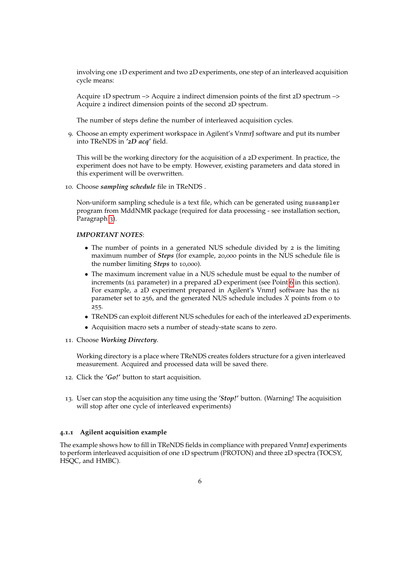involving one 1D experiment and two 2D experiments, one step of an interleaved acquisition cycle means:

Acquire 1D spectrum –> Acquire 2 indirect dimension points of the first 2D spectrum –> Acquire 2 indirect dimension points of the second 2D spectrum.

The number of steps define the number of interleaved acquisition cycles.

<span id="page-5-0"></span>9. Choose an empty experiment workspace in Agilent's VnmrJ software and put its number into TReNDS in *'2D acq'* field.

This will be the working directory for the acquisition of a 2D experiment. In practice, the experiment does not have to be empty. However, existing parameters and data stored in this experiment will be overwritten.

10. Choose *sampling schedule* file in TReNDS .

Non-uniform sampling schedule is a text file, which can be generated using nussampler program from MddNMR package (required for data processing - see installation section, Paragraph [3](#page-1-0)).

### *IMPORTANT NOTES*:

- The number of points in a generated NUS schedule divided by 2 is the limiting maximum number of *Steps* (for example, 20,000 points in the NUS schedule file is the number limiting *Steps* to 10,000).
- The maximum increment value in a NUS schedule must be equal to the number of increments (ni parameter) in a prepared 2D experiment (see Point [6](#page-3-1) in this section). For example, a 2D experiment prepared in Agilent's VnmrJ software has the ni parameter set to 256, and the generated NUS schedule includes *X* points from 0 to 255.
- TReNDS can exploit different NUS schedules for each of the interleaved 2D experiments.
- Acquisition macro sets a number of steady-state scans to zero.
- 11. Choose *Working Directory*.

Working directory is a place where TReNDS creates folders structure for a given interleaved measurement. Acquired and processed data will be saved there.

- 12. Click the *'Go!'* button to start acquisition.
- 13. User can stop the acquisition any time using the *'Stop!'* button. (Warning! The acquisition will stop after one cycle of interleaved experiments)

### **4.1.1 Agilent acquisition example**

The example shows how to fill in TReNDS fields in compliance with prepared VnmrJ experiments to perform interleaved acquisition of one 1D spectrum (PROTON) and three 2D spectra (TOCSY, HSQC, and HMBC).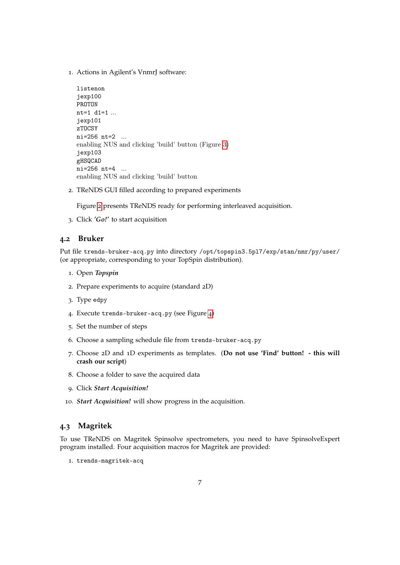1. Actions in Agilent's VnmrJ software:

```
listenon
jexp100
PROTON
nt=1 d1=1 ...
jexp101
zTOCSY
ni=256 nt=2 ...
enabling NUS and clicking 'build' button (Figure 3)
jexp103
gHSQCAD
ni=256 nt=4 ...
enabling NUS and clicking 'build' button
```
2. TReNDS GUI filled according to prepared experiments

Figure [2](#page-4-0) presents TReNDS ready for performing interleaved acquisition.

3. Click *'Go!'* to start acquisition

### **4.2 Bruker**

Put file trends-bruker-acq.py into directory /opt/topspin3.5pl7/exp/stan/nmr/py/user/ (or appropriate, corresponding to your TopSpin distribution).

- 1. Open *Topspin*
- 2. Prepare experiments to acquire (standard 2D)
- 3. Type edpy
- 4. Execute trends-bruker-acq.py (see Figure [4](#page-7-0))
- 5. Set the number of steps
- 6. Choose a sampling schedule file from trends-bruker-acq.py
- 7. Choose 2D and 1D experiments as templates. (**Do not use 'Find' button! this will crash our script**)
- 8. Choose a folder to save the acquired data
- 9. Click *Start Acquisition!*
- 10. *Start Acquisition!* will show progress in the acquisition.

# **4.3 Magritek**

To use TReNDS on Magritek Spinsolve spectrometers, you need to have SpinsolveExpert program installed. Four acquisition macros for Magritek are provided:

1. trends-magritek-acq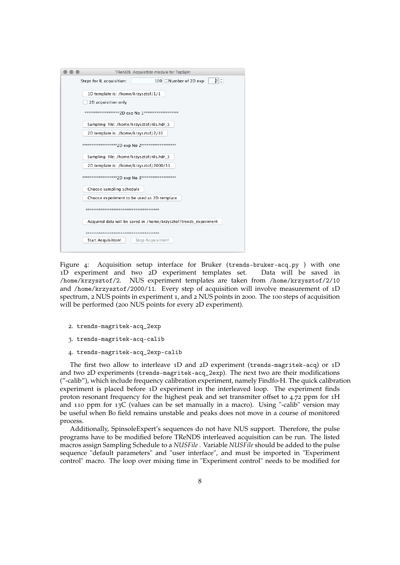| TReNDS Acquisition module for TopSpin                             |  |  |  |  |
|-------------------------------------------------------------------|--|--|--|--|
| $2^\circ$<br>100 C Number of 2D exp:<br>Steps for IL acquisition: |  |  |  |  |
| 1D template is: /home/krzysztof/1/1                               |  |  |  |  |
| 2D acquisition only                                               |  |  |  |  |
|                                                                   |  |  |  |  |
| Sampling file: /home/krzysztof/nls.hdr_3                          |  |  |  |  |
| 2D template is: /home/krzysztof/2/10                              |  |  |  |  |
| *******************2D exp No 2*******************                 |  |  |  |  |
| Sampling file: /home/krzysztof/nls.hdr_3                          |  |  |  |  |
| 2D template is: /home/krzysztof/2000/11                           |  |  |  |  |
| ********************2D exp No 3*******************                |  |  |  |  |
| Choose sampling schedule                                          |  |  |  |  |
| Choose experiment to be used as 2D template                       |  |  |  |  |
|                                                                   |  |  |  |  |
| Acquired data will be saved in /home/krzysztof/trends_experiment  |  |  |  |  |
|                                                                   |  |  |  |  |
| <b>Start Acquisition!</b><br>Stop Acquisition!                    |  |  |  |  |
|                                                                   |  |  |  |  |

<span id="page-7-0"></span>Figure 4: Acquisition setup interface for Bruker (trends-bruker-acq.py ) with one 1D experiment and two 2D experiment templates set. Data will be saved in /home/krzysztof/2. NUS experiment templates are taken from /home/krzysztof/2/10 and /home/krzysztof/2000/11. Every step of acquisition will involve measurement of 1D spectrum, 2 NUS points in experiment 1, and 2 NUS points in 2000. The 100 steps of acquisition will be performed (200 NUS points for every 2D experiment).

- 2. trends-magritek-acq\_2exp
- 3. trends-magritek-acq-calib
- 4. trends-magritek-acq\_2exp-calib

The first two allow to interleave 1D and 2D experiment (trends-magritek-acq) or 1D and two 2D experiments (trends-magritek-acq\_2exp). The next two are their modifications ("-calib"), which include frequency calibration experiment, namely Findf0-H. The quick calibration experiment is placed before 1D experiment in the interleaved loop. The experiment finds proton resonant frequency for the highest peak and set transmiter offset to 4.72 ppm for 1H and 110 ppm for 13C (values can be set manually in a macro). Using "-calib" version may be useful when B0 field remains unstable and peaks does not move in a course of monitored process.

Additionally, SpinsoleExpert's sequences do not have NUS support. Therefore, the pulse programs have to be modified before TReNDS interleaved acquisition can be run. The listed macros assign Sampling Schedule to a *NUSFile* . Variable *NUSFile* should be added to the pulse sequence "default parameters" and "user interface", and must be imported in "Experiment control" macro. The loop over mixing time in "Experiment control" needs to be modified for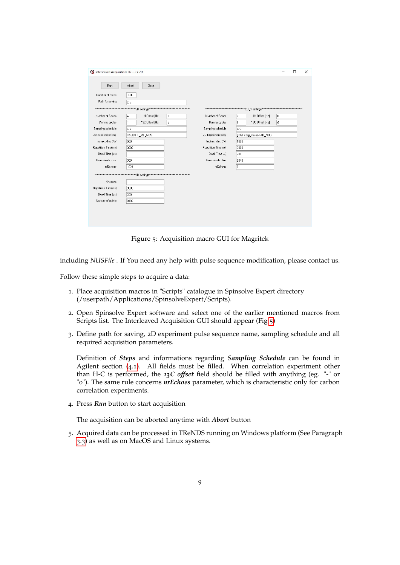| C Interleaved Acquisition: 1D + 2 x 2D |                       |   |                     |      |                         |     | $\Box$ | $\times$ |
|----------------------------------------|-----------------------|---|---------------------|------|-------------------------|-----|--------|----------|
| Run                                    | Abort<br>Close        |   |                     |      |                         |     |        |          |
| Number of Steps                        | 1000                  |   |                     |      |                         |     |        |          |
| Path for saving                        | ICN.                  |   |                     |      |                         |     |        |          |
|                                        |                       |   |                     |      |                         |     |        |          |
| Number of Scans                        | 1H Offset [Hz]<br>4   | o | Number of Scans     | 2    | 1H Offset [Hz]          | ١o  |        |          |
| Dummy cycles                           | 13C Offset [Hz]<br>h. | o | Dummy cycles        | h    | 13C Offset [Hz]         | lo. |        |          |
| Sampling schedule                      | lc:\                  |   | Sampling schedule   | lc:\ |                         |     |        |          |
| 2D experiment seq.                     | HSQC-HC_ME_NUS        |   | 2D Experiment seq.  |      | gDQFcosy_states-FAD_NUS |     |        |          |
| Indirect dim. SW                       | 500                   |   | Indirect dim. SW    | 1000 |                         |     |        |          |
| Repetition Time(ms)                    | 3000                  |   | Repetition Time(ms) | 3000 |                         |     |        |          |
| Dwell Time (us)                        | 1                     |   | Dwell Time us)      | 200  |                         |     |        |          |
| Points in dir. dim.                    | 300                   |   | Points in dir. dim. | 2048 |                         |     |        |          |
| nrEchoes                               | 1024                  |   | nrEchoes            | I٥   |                         |     |        |          |
|                                        |                       |   |                     |      |                         |     |        |          |
| Nr scans                               | I1.                   |   |                     |      |                         |     |        |          |
| Repetition Time(ms)                    | 3000                  |   |                     |      |                         |     |        |          |
| Dwell Time (us)                        | 200                   |   |                     |      |                         |     |        |          |
| Number of points                       | 8192                  |   |                     |      |                         |     |        |          |
|                                        |                       |   |                     |      |                         |     |        |          |
|                                        |                       |   |                     |      |                         |     |        |          |
|                                        |                       |   |                     |      |                         |     |        |          |

<span id="page-8-0"></span>Figure 5: Acquisition macro GUI for Magritek

including *NUSFile* . If You need any help with pulse sequence modification, please contact us.

Follow these simple steps to acquire a data:

- 1. Place acquisition macros in "Scripts" catalogue in Spinsolve Expert directory (/userpath/Applications/SpinsolveExpert/Scripts).
- 2. Open Spinsolve Expert software and select one of the earlier mentioned macros from Scripts list. The Interleaved Acquisition GUI should appear (Fig [5](#page-8-0))
- 3. Define path for saving, 2D experiment pulse sequence name, sampling schedule and all required acquisition parameters.

Definition of *Steps* and informations regarding *Sampling Schedule* can be found in Agilent section ([4](#page-3-3).1). All fields must be filled. When correlation experiment other than H-C is performed, the *13C offset* field should be filled with anything (eg. "-" or "0"). The same rule concerns *nrEchoes* parameter, which is characteristic only for carbon correlation experiments.

4. Press *Run* button to start acquisition

The acquisition can be aborted anytime with *Abort* button

5. Acquired data can be processed in TReNDS running on Windows platform (See Paragraph [3](#page-2-0).3) as well as on MacOS and Linux systems.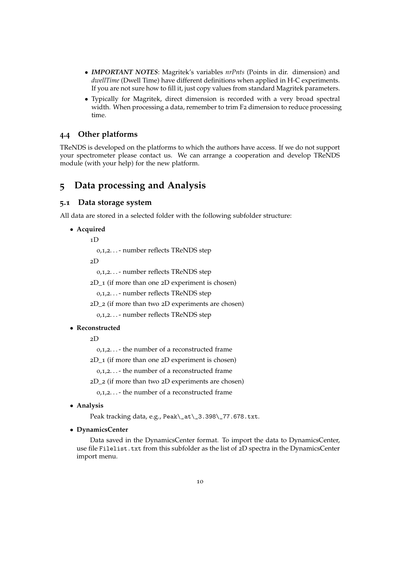- *IMPORTANT NOTES*: Magritek's variables *nrPnts* (Points in dir. dimension) and *dwellTime* (Dwell Time) have different definitions when applied in H-C experiments. If you are not sure how to fill it, just copy values from standard Magritek parameters.
- Typically for Magritek, direct dimension is recorded with a very broad spectral width. When processing a data, remember to trim F2 dimension to reduce processing time.

### **4.4 Other platforms**

TReNDS is developed on the platforms to which the authors have access. If we do not support your spectrometer please contact us. We can arrange a cooperation and develop TReNDS module (with your help) for the new platform.

# **5 Data processing and Analysis**

### **5.1 Data storage system**

All data are stored in a selected folder with the following subfolder structure:

• **Acquired**

1D

0,1,2. . . - number reflects TReNDS step

2D

0,1,2. . . - number reflects TReNDS step

2D\_1 (if more than one 2D experiment is chosen)

0,1,2. . . - number reflects TReNDS step

2D\_2 (if more than two 2D experiments are chosen)

0,1,2. . . - number reflects TReNDS step

### • **Reconstructed**

 $2D$ 

0,1,2. . . - the number of a reconstructed frame

2D\_1 (if more than one 2D experiment is chosen)

0,1,2. . . - the number of a reconstructed frame

2D\_2 (if more than two 2D experiments are chosen)

0,1,2. . . - the number of a reconstructed frame

• **Analysis**

Peak tracking data, e.g., Peak\\_at\\_3.398\\_77.678.txt.

• **DynamicsCenter**

Data saved in the DynamicsCenter format. To import the data to DynamicsCenter, use file Filelist.txt from this subfolder as the list of 2D spectra in the DynamicsCenter import menu.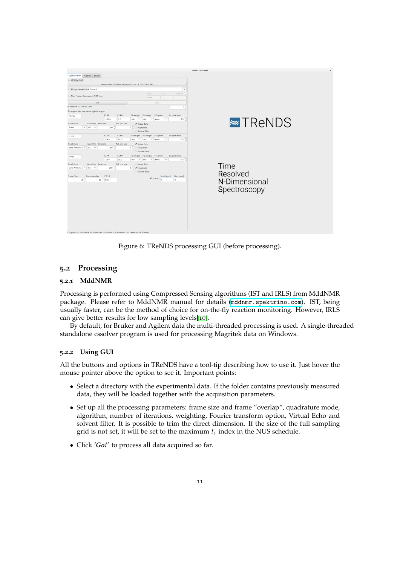

Figure 6: TReNDS processing GUI (before processing).

# **5.2 Processing**

### **5.2.1 MddNMR**

Processing is performed using Compressed Sensing algorithms (IST and IRLS) from MddNMR package. Please refer to MddNMR manual for details (<mddnmr.spektrino.com>). IST, being usually faster, can be the method of choice for on-the-fly reaction monitoring. However, IRLS can give better results for low sampling levels[[10](#page-16-8)].

By default, for Bruker and Agilent data the multi-threaded processing is used. A single-threaded standalone cssolver program is used for processing Magritek data on Windows.

# **5.2.2 Using GUI**

All the buttons and options in TReNDS have a tool-tip describing how to use it. Just hover the mouse pointer above the option to see it. Important points:

- Select a directory with the experimental data. If the folder contains previously measured data, they will be loaded together with the acquisition parameters.
- Set up all the processing parameters: frame size and frame "overlap", quadrature mode, algorithm, number of iterations, weighting, Fourier transform option, Virtual Echo and solvent filter. It is possible to trim the direct dimension. If the size of the full sampling grid is not set, it will be set to the maximum  $t_1$  index in the NUS schedule.
- Click *'Go!'* to process all data acquired so far.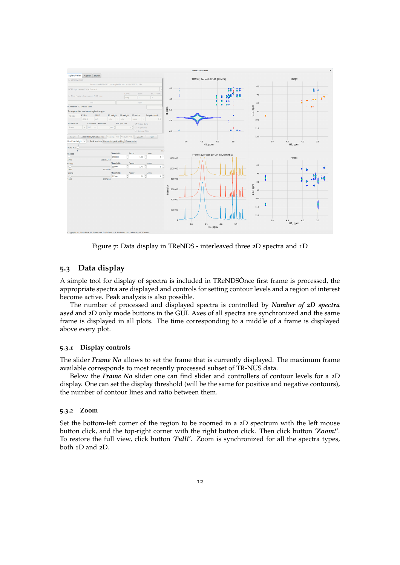

Figure 7: Data display in TReNDS - interleaved three 2D spectra and 1D

# **5.3 Data display**

A simple tool for display of spectra is included in TReNDSOnce first frame is processed, the appropriate spectra are displayed and controls for setting contour levels and a region of interest become active. Peak analysis is also possible.

The number of processed and displayed spectra is controlled by *Number of 2D spectra used* and 2D only mode buttons in the GUI. Axes of all spectra are synchronized and the same frame is displayed in all plots. The time corresponding to a middle of a frame is displayed above every plot.

#### **5.3.1 Display controls**

The slider *Frame No* allows to set the frame that is currently displayed. The maximum frame available corresponds to most recently processed subset of TR-NUS data.

Below the *Frame No* slider one can find slider and controllers of contour levels for a 2D display. One can set the display threshold (will be the same for positive and negative contours), the number of contour lines and ratio between them.

### **5.3.2 Zoom**

Set the bottom-left corner of the region to be zoomed in a 2D spectrum with the left mouse button click, and the top-right corner with the right button click. Then click button *'Zoom!'*. To restore the full view, click button *'Full!'*. Zoom is synchronized for all the spectra types, both 1D and 2D.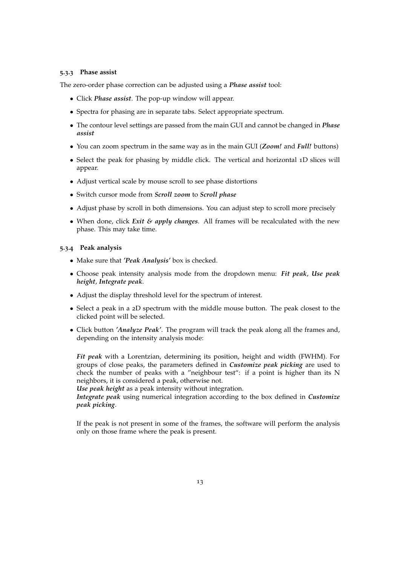### **5.3.3 Phase assist**

The zero-order phase correction can be adjusted using a *Phase assist* tool:

- Click *Phase assist*. The pop-up window will appear.
- Spectra for phasing are in separate tabs. Select appropriate spectrum.
- The contour level settings are passed from the main GUI and cannot be changed in *Phase assist*
- You can zoom spectrum in the same way as in the main GUI (*Zoom!* and *Full!* buttons)
- Select the peak for phasing by middle click. The vertical and horizontal 1D slices will appear.
- Adjust vertical scale by mouse scroll to see phase distortions
- Switch cursor mode from *Scroll zoom* to *Scroll phase*
- Adjust phase by scroll in both dimensions. You can adjust step to scroll more precisely
- When done, click *Exit & apply changes*. All frames will be recalculated with the new phase. This may take time.

### **5.3.4 Peak analysis**

- Make sure that *'Peak Analysis'* box is checked.
- Choose peak intensity analysis mode from the dropdown menu: *Fit peak*, *Use peak height*, *Integrate peak*.
- Adjust the display threshold level for the spectrum of interest.
- Select a peak in a 2D spectrum with the middle mouse button. The peak closest to the clicked point will be selected.
- Click button *'Analyze Peak'*. The program will track the peak along all the frames and, depending on the intensity analysis mode:

*Fit peak* with a Lorentzian, determining its position, height and width (FWHM). For groups of close peaks, the parameters defined in *Customize peak picking* are used to check the number of peaks with a "neighbour test": if a point is higher than its N neighbors, it is considered a peak, otherwise not.

*Use peak height* as a peak intensity without integration.

*Integrate peak* using numerical integration according to the box defined in *Customize peak picking*.

If the peak is not present in some of the frames, the software will perform the analysis only on those frame where the peak is present.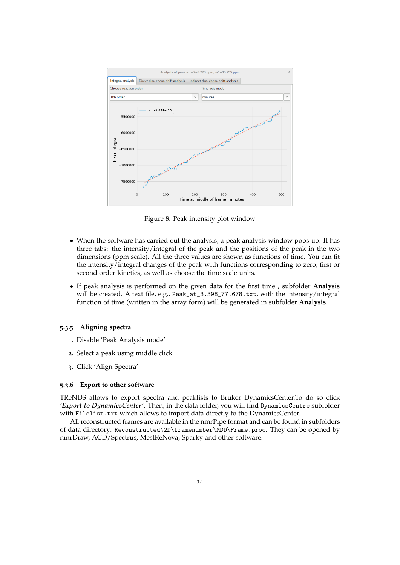

Figure 8: Peak intensity plot window

- When the software has carried out the analysis, a peak analysis window pops up. It has three tabs: the intensity/integral of the peak and the positions of the peak in the two dimensions (ppm scale). All the three values are shown as functions of time. You can fit the intensity/integral changes of the peak with functions corresponding to zero, first or second order kinetics, as well as choose the time scale units.
- If peak analysis is performed on the given data for the first time , subfolder **Analysis** will be created. A text file, e.g., Peak\_at\_3.398\_77.678.txt, with the intensity/integral function of time (written in the array form) will be generated in subfolder **Analysis**.

### **5.3.5 Aligning spectra**

- 1. Disable 'Peak Analysis mode'
- 2. Select a peak using middle click
- 3. Click 'Align Spectra'

### **5.3.6 Export to other software**

TReNDS allows to export spectra and peaklists to Bruker DynamicsCenter.To do so click *'Export to DynamicsCenter'*. Then, in the data folder, you will find DynamicsCentre subfolder with Filelist.txt which allows to import data directly to the DynamicsCenter.

All reconstructed frames are available in the nmrPipe format and can be found in subfolders of data directory: Reconstructed\2D\framenumber\MDD\Frame.proc. They can be opened by nmrDraw, ACD/Spectrus, MestReNova, Sparky and other software.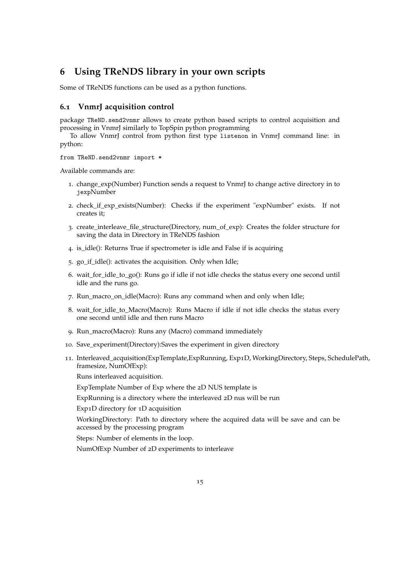# **6 Using TReNDS library in your own scripts**

Some of TReNDS functions can be used as a python functions.

### **6.1 VnmrJ acquisition control**

package TReND.send2vnmr allows to create python based scripts to control acquisition and processing in VnmrJ similarly to TopSpin python programming

To allow VnmrJ control from python first type listenon in VnmrJ command line: in python:

from TReND.send2vnmr import \*

Available commands are:

- 1. change\_exp(Number) Function sends a request to VnmrJ to change active directory in to jexpNumber
- 2. check\_if\_exp\_exists(Number): Checks if the experiment "expNumber" exists. If not creates it;
- 3. create interleave file structure(Directory, num of exp): Creates the folder structure for saving the data in Directory in TReNDS fashion
- 4. is\_idle(): Returns True if spectrometer is idle and False if is acquiring
- 5. go\_if\_idle(): activates the acquisition. Only when Idle;
- 6. wait\_for\_idle\_to\_go(): Runs go if idle if not idle checks the status every one second until idle and the runs go.
- 7. Run\_macro\_on\_idle(Macro): Runs any command when and only when Idle;
- 8. wait\_for\_idle\_to\_Macro(Macro): Runs Macro if idle if not idle checks the status every one second until idle and then runs Macro
- 9. Run\_macro(Macro): Runs any (Macro) command immediately
- 10. Save\_experiment(Directory):Saves the experiment in given directory
- 11. Interleaved\_acquisition(ExpTemplate,ExpRunning, Exp1D, WorkingDirectory, Steps, SchedulePath, framesize, NumOfExp):

Runs interleaved acquisition.

ExpTemplate Number of Exp where the 2D NUS template is

ExpRunning is a directory where the interleaved 2D nus will be run

Exp1D directory for 1D acquisition

WorkingDirectory: Path to directory where the acquired data will be save and can be accessed by the processing program

Steps: Number of elements in the loop.

NumOfExp Number of 2D experiments to interleave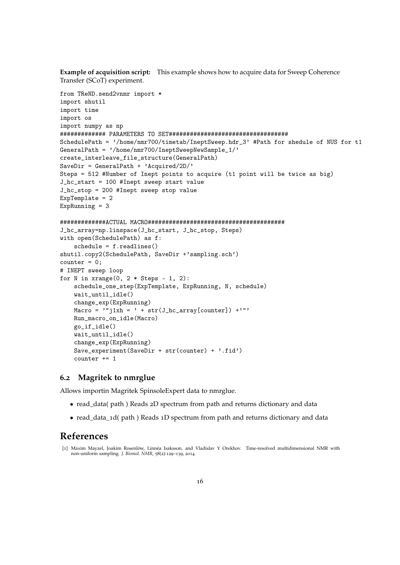**Example of acquisition script:** This example shows how to acquire data for Sweep Coherence Transfer (SCoT) experiment.

```
from TReND.send2vnmr import *
import shutil
import time
import os
import numpy as np
############# PARAMETERS TO SET##################################
SchedulePath = '/home/nmr700/timetab/IneptSweep.hdr_3' #Path for shedule of NUS for t1
GeneralPath = '/home/nmr700/IneptSweepNewSample_1/'
create_interleave_file_structure(GeneralPath)
SaveDir = GeneralPath + 'Acquired/2D/'
Steps = 512 #Number of Inept points to acquire (t1 point will be twice as big)
J_hc_start = 100 #Inept sweep start value
J_hc_stop = 200 #Inept sweep stop value
ExpTemplate = 2
ExpRunning = 3#############ACTUAL MACRO#######################################
J_hc_array=np.linspace(J_hc_start, J_hc_stop, Steps)
with open(SchedulePath) as f:
    schedule = f.readlines()
shutil.copy2(SchedulePath, SaveDir +'sampling.sch')
counter = 0;# INEPT sweep loop
for N in xrange(0, 2 * Steps - 1, 2):
    schedule_one_step(ExpTemplate, ExpRunning, N, schedule)
    wait_until_idle()
    change_exp(ExpRunning)
    Macro = '"j1xh = ' + str(J_hc_array[counter]) +'"'
    Run_macro_on_idle(Macro)
    go_if_idle()
    wait_until_idle()
    change_exp(ExpRunning)
    Save_experiment(SaveDir + str(counter) + '.fid')
    counter += 1
```
#### **6.2 Magritek to nmrglue**

Allows importin Magritek SpinsoleExpert data to nmrglue.

- read\_data( path ) Reads 2D spectrum from path and returns dictionary and data
- read\_data\_1d( path ) Reads 1D spectrum from path and returns dictionary and data

# **References**

<span id="page-15-0"></span><sup>[</sup>1] Maxim Mayzel, Joakim Rosenlöw, Linnéa Isaksson, and Vladislav Y Orekhov. Time-resolved multidimensional NMR with non-uniform sampling. *J. Biomol. NMR*, 58(2):129–139, 2014.